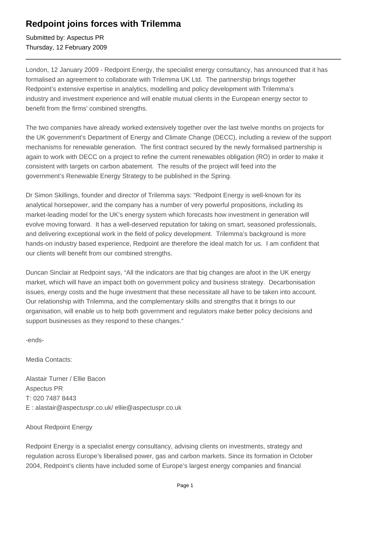## **Redpoint joins forces with Trilemma**

Submitted by: Aspectus PR Thursday, 12 February 2009

London, 12 January 2009 - Redpoint Energy, the specialist energy consultancy, has announced that it has formalised an agreement to collaborate with Trilemma UK Ltd. The partnership brings together Redpoint's extensive expertise in analytics, modelling and policy development with Trilemma's industry and investment experience and will enable mutual clients in the European energy sector to benefit from the firms' combined strengths.

The two companies have already worked extensively together over the last twelve months on projects for the UK government's Department of Energy and Climate Change (DECC), including a review of the support mechanisms for renewable generation. The first contract secured by the newly formalised partnership is again to work with DECC on a project to refine the current renewables obligation (RO) in order to make it consistent with targets on carbon abatement. The results of the project will feed into the government's Renewable Energy Strategy to be published in the Spring.

Dr Simon Skillings, founder and director of Trilemma says: "Redpoint Energy is well-known for its analytical horsepower, and the company has a number of very powerful propositions, including its market-leading model for the UK's energy system which forecasts how investment in generation will evolve moving forward. It has a well-deserved reputation for taking on smart, seasoned professionals, and delivering exceptional work in the field of policy development. Trilemma's background is more hands-on industry based experience, Redpoint are therefore the ideal match for us. I am confident that our clients will benefit from our combined strengths.

Duncan Sinclair at Redpoint says, "All the indicators are that big changes are afoot in the UK energy market, which will have an impact both on government policy and business strategy. Decarbonisation issues, energy costs and the huge investment that these necessitate all have to be taken into account. Our relationship with Trilemma, and the complementary skills and strengths that it brings to our organisation, will enable us to help both government and regulators make better policy decisions and support businesses as they respond to these changes."

-ends-

Media Contacts:

Alastair Turner / Ellie Bacon Aspectus PR T: 020 7487 8443 E : alastair@aspectuspr.co.uk/ ellie@aspectuspr.co.uk

## About Redpoint Energy

Redpoint Energy is a specialist energy consultancy, advising clients on investments, strategy and regulation across Europe's liberalised power, gas and carbon markets. Since its formation in October 2004, Redpoint's clients have included some of Europe's largest energy companies and financial